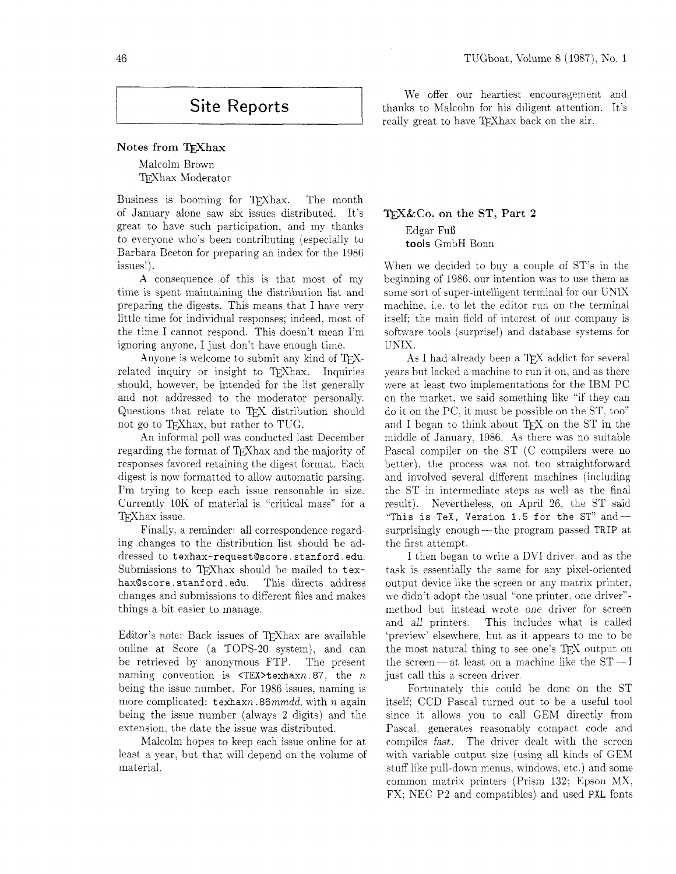# Site Reports

## $Note of from TrX$ hax

Malcolm Brown T<sub>F</sub>Xhax Moderator

Business is booming for TFXhax. The month of January alone saw six issues distributed. It's great to have such participation, and my thanks to everyone who's been contributing (especially to Barbara Beeton for preparing an index for the 1986 issues!).

A consequence of this is that most of my time is spent maintaining the distribution list and preparing the digests. This means that I have very little time for individual responses; indeed. most of the time I cannot respond. This doesn't mean I'm ignoring anyone, I just don't have enough time.

Anyone is welcome to submit any kind of  $T_F X$ related inquiry or insight to TEXhax. Inquiries should, however, be intended for the list generally and not addressed to the moderator personally. Questions that relate to TFX distribution should not go to QXhax, but rather to TUG.

An informal poll was conducted last December regarding the format of T<sub>F</sub>Xhax and the majority of responses favored retaining the digest format. Each digest is now formatted to allow automatic parsing. I'm trying to keep each issue reasonable in size. Currently 10K of material is "critical mass" for a TFXhax issue.

Finally, a reminder: all correspondence regarding changes to the distribution list should be addressed to texhax-request@score.stanford.edu. Submissions to TEXhax should be mailed to texhax@score.stanford.edu. This directs address changes and submissions to different files and makes things a bit easier to manage.

Editor's note: Back issues of T<sub>F</sub>Xhax are available online at Score (a TOPS-20 system), and can be retrieved by anonymous FTP. The present naming convention is  $\langle TEX \rangle$ texhaxn.87, the n being the issue number. For 1986 issues. naming is more complicated:  $text{tex} n.86mmdd$ , with n again being the issue number (always 2 digits) and the extension, the date the issue was distributed.

Malcolm hopes to keep each issue online for at least a year. but that will depend on the volume of material.

We offer our heartiest encouragement and thanks to Malcolm for his diligent attention. It's really great to have TEXhax back on the air.

# 'l\$J&Co. **on the ST, Part 2**  Edgar Fuß **tools** GmbH Bonn

When we decided to buy a couple of ST's in the beginning of 1986, our intention was to use them as some sort of super-intelligent terminal for our UNIX machine, i.e. to let the editor run on the terminal itself; the main field of interest of our company is software tools (surprise!) and database systems for UNIX.

As I had already been a TFX addict for several years but lacked a machine to run it on. and as there were at least two implementations for the IBM PC on the market, we said something like "if they can do it on the PC. it must be possible on the ST, too" and I began to think about  $T_F X$  on the ST in the middle of January, 1986. As there was no suitable Pascal compiler on the ST (C compilers were no better), the process was not too straightforward and involved several different machines (including the ST in intermediate steps as well as the final result). Nevertheless, on April 26, the ST said "This is TeX, Version 1.5 for the  $ST"$  and -surprisingly enough — the program passed TRIP at the first attempt.

I then began to write a DVI driver, and as the task is essentially the same for any pixel-oriented output device like the screen or any matrix printer, we didn't adopt the usual "one printer, one driver"method but instead wrote one driver for screen and *all* printers. This includes what is called 'preview' elsewhere. but as it appears to me to be the most natural thing to see one's TFX output on the screen—at least on a machine like the  $ST-I$ just call this a screen driver.

Fortunately this could be done on the ST itself: CCD Pascal turned out to be a useful tool since it allows you to call GEM directly from Pascal, generates reasonably compact code and compiles fast. The driver dealt with the screen with variable output size (using all kinds of GEM stuff like pull-down menus, windows; etc.) and some common matrix printers (Prism 132; Epson MX, FX; KEC P2 and compatibles) and used PXL fonts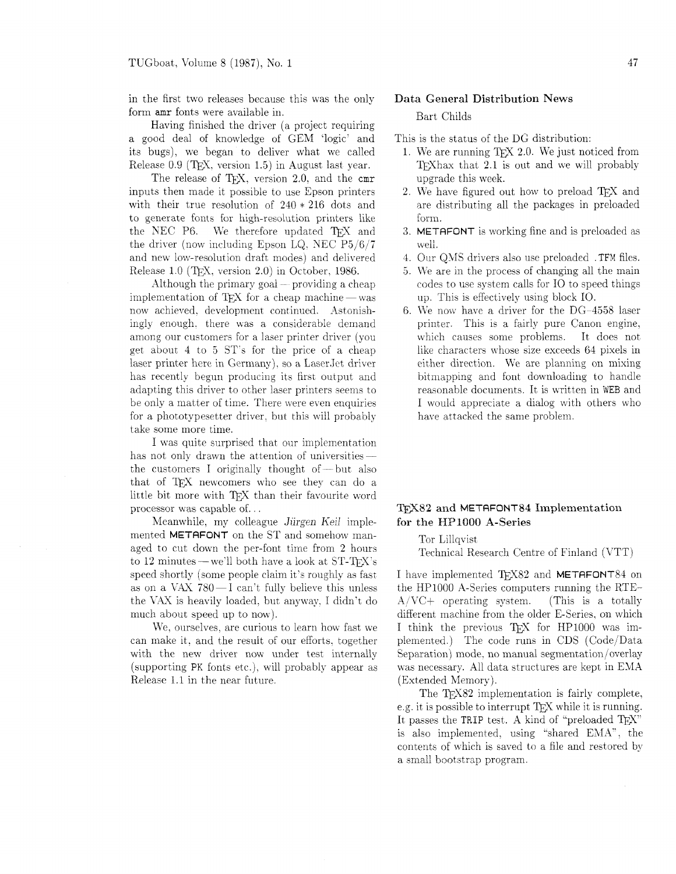in the first two releases because this was the only form amr fonts were available in.

Having finished the driver (a project requiring a good deal of knowledge of GEM 'logic' and its bugs), we began to deliver what we called Release  $0.9$  (TEX, version 1.5) in August last year.

The release of TEX, version 2.0, and the cmr inputs then made it possible to use Zpson printers with their true resolution of  $240 * 216$  dots and to generate fonts for high-resolution printers like the NEC P6. We therefore updated TEX and the driver (now including Epson LQ. NEC P5/6/'7 and new low-resolution draft modes) and delivered Release 1.0 (TFX. version 2.0) in October. 1986.

Although the primary  $\text{goal}$  - providing a cheap implementation of TFX for a cheap machine  $-\text{was}$ now achieved. development continued. Astonishingly enough. there was a considerable demand among our customers for a laser printer driver (you get about **4** to 5 ST'S for the price of a cheap laser printer here in Germany), so a Laser Jet driver has recently begun producing its firs: output and adapting this driver to other laser printers seems to be only a matter of time. There were even enquiries for a phototypesetter driver, but this will probably take some more time.

I was quite surprised that our implementation has not only drawn the attention of universities—<br>the customers I originally thought of—but also that of TFX newcomers who see they can do a little bit more with TFX than their favourite word processor was capable of.. .

Meanwhile, my colleague Jürgen Keil implemented METAFONT on the ST and somehow managed to cut down the per-font time from 2 hours to 12 minutes – we'll both have a look at  $ST-TFX$ 's speed shortly (some people claim it's roughly as fast as on a VAX  $780 - 1$  can't fully believe this unless the \:AX is heavily loaded, but anyway, I didn't do much about speed up to now).

We, ourselves, are curious to learn how fast we can make it, and the result of our efforts, together with the new driver now under test internally (supporting PK fonts etc.), will probably appear as Release 1.1 in the near future.

#### Data General Distribution News

Bart Childs

This is the status of the DG distribution:

- 1. We are running TFX 2.0. We just noticed from TEX hax that  $2.1$  is out and we will probably upgrade this week.
- 2. We have figured out how to preload TFX and are distributing all the packages in preloaded form.
- 3. METAFONT is working fine and is preloaded as well.
- 4. Our QMS drivers also use preloaded . TFM files.
- 5. We are in the process of changing all the main codes to use system calls for IO to speed things up, This is effectively using block 10.
- 6. We now have a driver for the  $DG-4558$  laser printer. This is a fairly pure Canon engine, which causes some problems. It does not like characters whose size exceeds 64 pixels in either direction. We are planning on mixing bitmapping and font downloading to handle reasonable documents. It is written in WEB and I would appreciate a dialog with others who have attacked the same problem.

### T<sub>F</sub>X82 and METAFONT84 Implementation for the HP1000 A-Series

Tor Lillqvist

Technical Research Centre of Finland (VTT)

I have implemented TFX82 and METAFONT84 on the HP1000 A-Series computers running the RTE- $A/VC+$  operating system. (This is a totally different machine from the older E-Series, on which I think the previous TFX for HP1000 was implemented.) The code runs in CDS (Code/Data Separation) mode, no manual segmentation/overlay was necessary. A11 data structures are kept in EMA (Extended Memory).

The T<sub>F</sub>X82 implementation is fairly complete, e.g. it is possible to interrupt TFX while it is running. It passes the TRIP test. A kind of "preloaded  $T_FX$ " is also implemented, using "shared EXA". the contents of which is saved to a file and restored by a small bootstrap program.